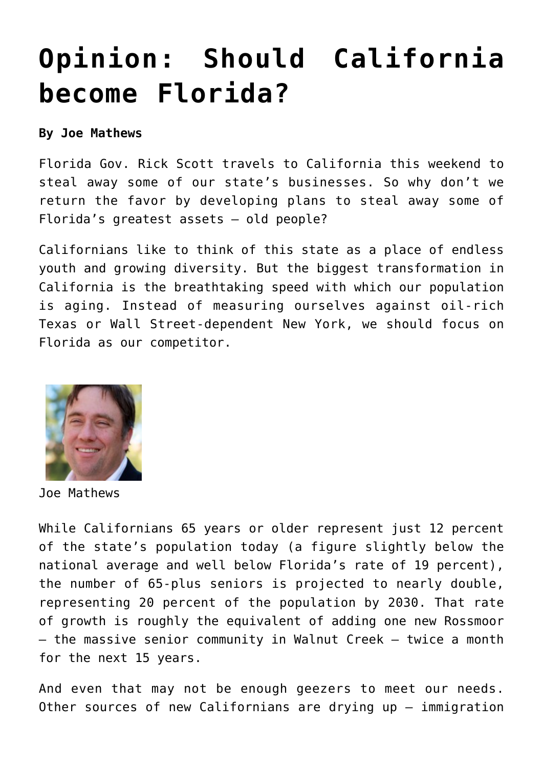## **[Opinion: Should California](https://www.laketahoenews.net/2015/04/opinion-should-california-become-florida/) [become Florida?](https://www.laketahoenews.net/2015/04/opinion-should-california-become-florida/)**

## **By Joe Mathews**

Florida Gov. Rick Scott travels to California this weekend to steal away some of our state's businesses. So why don't we return the favor by developing plans to steal away some of Florida's greatest assets — old people?

Californians like to think of this state as a place of endless youth and growing diversity. But the biggest transformation in California is the breathtaking speed with which our population is aging. Instead of measuring ourselves against oil-rich Texas or Wall Street-dependent New York, we should focus on Florida as our competitor.



Joe Mathews

While Californians 65 years or older represent just 12 percent of the state's population today (a figure slightly below the national average and well below Florida's rate of 19 percent), the number of 65-plus seniors is projected to nearly double, representing 20 percent of the population by 2030. That rate of growth is roughly the equivalent of adding one new Rossmoor — the massive senior community in Walnut Creek — twice a month for the next 15 years.

And even that may not be enough geezers to meet our needs. Other sources of new Californians are drying up — immigration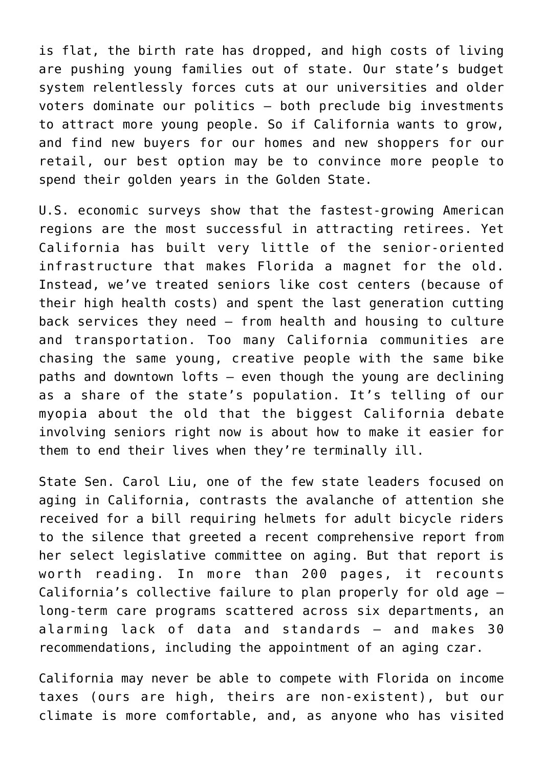is flat, the birth rate has dropped, and high costs of living are pushing young families out of state. Our state's budget system relentlessly forces cuts at our universities and older voters dominate our politics — both preclude big investments to attract more young people. So if California wants to grow, and find new buyers for our homes and new shoppers for our retail, our best option may be to convince more people to spend their golden years in the Golden State.

U.S. economic surveys show that the fastest-growing American regions are the most successful in attracting retirees. Yet California has built very little of the senior-oriented infrastructure that makes Florida a magnet for the old. Instead, we've treated seniors like cost centers (because of their high health costs) and spent the last generation cutting back services they need — from health and housing to culture and transportation. Too many California communities are chasing the same young, creative people with the same bike paths and downtown lofts — even though the young are declining as a share of the state's population. It's telling of our myopia about the old that the biggest California debate involving seniors right now is about how to make it easier for them to end their lives when they're terminally ill.

State Sen. Carol Liu, one of the few state leaders focused on aging in California, contrasts the avalanche of attention she received for a bill requiring helmets for adult bicycle riders to the silence that greeted a recent comprehensive report from her select legislative committee on aging. But that [report](http://sd25.senate.ca.gov/sites/sd25.senate.ca.gov/files/AgingLong%20TermCareReport.pdf) is worth reading. In more than 200 pages, it recounts California's collective failure to plan properly for old age long-term care programs scattered across six departments, an alarming lack of data and standards — and makes 30 recommendations, including the appointment of an aging czar.

California may never be able to compete with Florida on income taxes (ours are high, theirs are non-existent), but our climate is more comfortable, and, as anyone who has visited